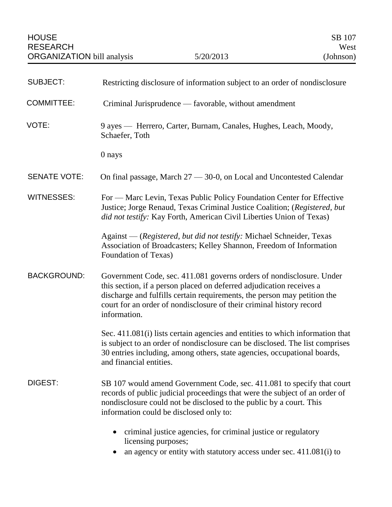| <b>SUBJECT:</b>     | Restricting disclosure of information subject to an order of nondisclosure                                                                                                                                                                                                                                       |
|---------------------|------------------------------------------------------------------------------------------------------------------------------------------------------------------------------------------------------------------------------------------------------------------------------------------------------------------|
| <b>COMMITTEE:</b>   | Criminal Jurisprudence — favorable, without amendment                                                                                                                                                                                                                                                            |
| VOTE:               | 9 ayes — Herrero, Carter, Burnam, Canales, Hughes, Leach, Moody,<br>Schaefer, Toth                                                                                                                                                                                                                               |
|                     | 0 nays                                                                                                                                                                                                                                                                                                           |
| <b>SENATE VOTE:</b> | On final passage, March 27 - 30-0, on Local and Uncontested Calendar                                                                                                                                                                                                                                             |
| <b>WITNESSES:</b>   | For — Marc Levin, Texas Public Policy Foundation Center for Effective<br>Justice; Jorge Renaud, Texas Criminal Justice Coalition; (Registered, but<br>did not testify: Kay Forth, American Civil Liberties Union of Texas)                                                                                       |
|                     | Against — (Registered, but did not testify: Michael Schneider, Texas<br>Association of Broadcasters; Kelley Shannon, Freedom of Information<br>Foundation of Texas)                                                                                                                                              |
| <b>BACKGROUND:</b>  | Government Code, sec. 411.081 governs orders of nondisclosure. Under<br>this section, if a person placed on deferred adjudication receives a<br>discharge and fulfills certain requirements, the person may petition the<br>court for an order of nondisclosure of their criminal history record<br>information. |
|                     | Sec. 411.081(i) lists certain agencies and entities to which information that<br>is subject to an order of nondisclosure can be disclosed. The list comprises<br>30 entries including, among others, state agencies, occupational boards,<br>and financial entities.                                             |
| <b>DIGEST:</b>      | SB 107 would amend Government Code, sec. 411.081 to specify that court<br>records of public judicial proceedings that were the subject of an order of<br>nondisclosure could not be disclosed to the public by a court. This<br>information could be disclosed only to:                                          |
|                     | criminal justice agencies, for criminal justice or regulatory<br>licensing purposes;<br>an agency or entity with statutory access under sec. 411.081(i) to                                                                                                                                                       |